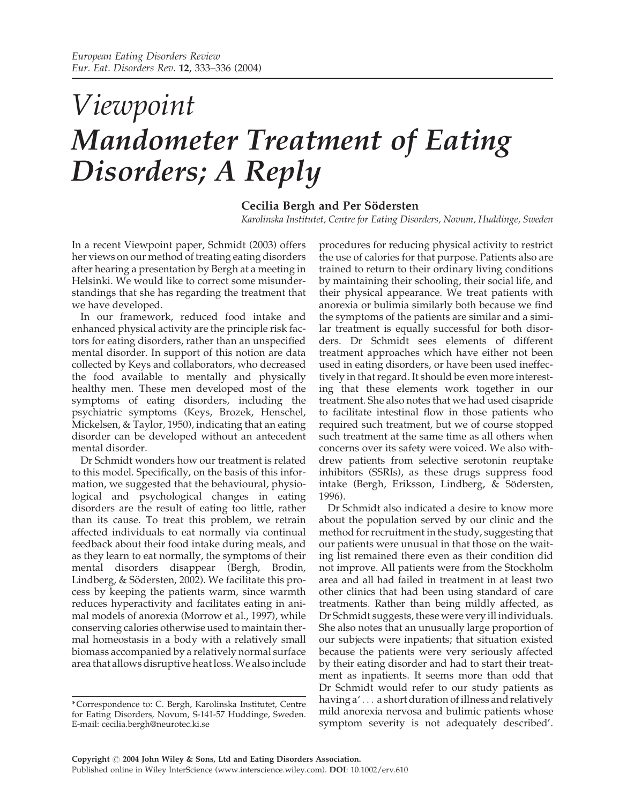## Viewpoint Mandometer Treatment of Eating Disorders; A Reply

## Cecilia Bergh and Per Södersten

Karolinska Institutet, Centre for Eating Disorders, Novum, Huddinge, Sweden

In a recent Viewpoint paper, Schmidt (2003) offers her views on our method of treating eating disorders after hearing a presentation by Bergh at a meeting in Helsinki. We would like to correct some misunderstandings that she has regarding the treatment that we have developed.

In our framework, reduced food intake and enhanced physical activity are the principle risk factors for eating disorders, rather than an unspecified mental disorder. In support of this notion are data collected by Keys and collaborators, who decreased the food available to mentally and physically healthy men. These men developed most of the symptoms of eating disorders, including the psychiatric symptoms (Keys, Brozek, Henschel, Mickelsen, & Taylor, 1950), indicating that an eating disorder can be developed without an antecedent mental disorder.

Dr Schmidt wonders how our treatment is related to this model. Specifically, on the basis of this information, we suggested that the behavioural, physiological and psychological changes in eating disorders are the result of eating too little, rather than its cause. To treat this problem, we retrain affected individuals to eat normally via continual feedback about their food intake during meals, and as they learn to eat normally, the symptoms of their mental disorders disappear (Bergh, Brodin, Lindberg, & Södersten, 2002). We facilitate this process by keeping the patients warm, since warmth reduces hyperactivity and facilitates eating in animal models of anorexia (Morrow et al., 1997), while conserving calories otherwise used to maintain thermal homeostasis in a body with a relatively small biomass accompanied by a relatively normal surface area that allows disruptive heatloss.We also include

procedures for reducing physical activity to restrict the use of calories for that purpose. Patients also are trained to return to their ordinary living conditions by maintaining their schooling, their social life, and their physical appearance. We treat patients with anorexia or bulimia similarly both because we find the symptoms of the patients are similar and a similar treatment is equally successful for both disorders. Dr Schmidt sees elements of different treatment approaches which have either not been used in eating disorders, or have been used ineffectively in that regard. It should be even more interesting that these elements work together in our treatment. She also notes that we had used cisapride to facilitate intestinal flow in those patients who required such treatment, but we of course stopped such treatment at the same time as all others when concerns over its safety were voiced. We also withdrew patients from selective serotonin reuptake inhibitors (SSRIs), as these drugs suppress food intake (Bergh, Eriksson, Lindberg, & Södersten, 1996).

Dr Schmidt also indicated a desire to know more about the population served by our clinic and the method for recruitment in the study, suggesting that our patients were unusual in that those on the waiting list remained there even as their condition did not improve. All patients were from the Stockholm area and all had failed in treatment in at least two other clinics that had been using standard of care treatments. Rather than being mildly affected, as Dr Schmidt suggests, these were very ill individuals. She also notes that an unusually large proportion of our subjects were inpatients; that situation existed because the patients were very seriously affected by their eating disorder and had to start their treatment as inpatients. It seems more than odd that Dr Schmidt would refer to our study patients as having a'... a short duration of illness and relatively mild anorexia nervosa and bulimic patients whose symptom severity is not adequately described'.

<sup>\*</sup> Correspondence to: C. Bergh, Karolinska Institutet, Centre for Eating Disorders, Novum, S-141-57 Huddinge, Sweden. E-mail: cecilia.bergh@neurotec.ki.se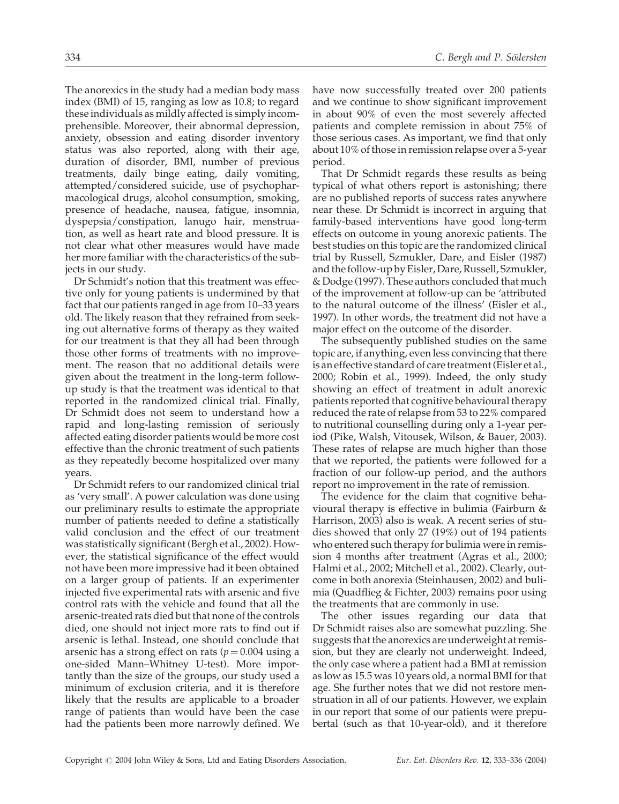The anorexics in the study had a median body mass index (BMI) of 15, ranging as low as 10.8; to regard these individuals as mildly affected is simply incomprehensible. Moreover, their abnormal depression, anxiety, obsession and eating disorder inventory status was also reported, along with their age, duration of disorder, BMI, number of previous treatments, daily binge eating, daily vomiting, attempted/considered suicide, use of psychopharmacological drugs, alcohol consumption, smoking, presence of headache, nausea, fatigue, insomnia, dyspepsia/constipation, lanugo hair, menstruation, as well as heart rate and blood pressure. It is not clear what other measures would have made her more familiar with the characteristics of the subjects in our study.

Dr Schmidt's notion that this treatment was effective only for young patients is undermined by that fact that our patients ranged in age from 10–33 years old. The likely reason that they refrained from seeking out alternative forms of therapy as they waited for our treatment is that they all had been through those other forms of treatments with no improvement. The reason that no additional details were given about the treatment in the long-term followup study is that the treatment was identical to that reported in the randomized clinical trial. Finally, Dr Schmidt does not seem to understand how a rapid and long-lasting remission of seriously affected eating disorder patients would be more cost effective than the chronic treatment of such patients as they repeatedly become hospitalized over many years.

Dr Schmidt refers to our randomized clinical trial as 'very small'. A power calculation was done using our preliminary results to estimate the appropriate number of patients needed to define a statistically valid conclusion and the effect of our treatment was statistically significant (Bergh et al., 2002). However, the statistical significance of the effect would not have been more impressive had it been obtained on a larger group of patients. If an experimenter injected five experimental rats with arsenic and five control rats with the vehicle and found that all the arsenic-treated rats died but that none of the controls died, one should not inject more rats to find out if arsenic is lethal. Instead, one should conclude that arsenic has a strong effect on rats ( $p = 0.004$  using a one-sided Mann–Whitney U-test). More importantly than the size of the groups, our study used a minimum of exclusion criteria, and it is therefore likely that the results are applicable to a broader range of patients than would have been the case had the patients been more narrowly defined. We

have now successfully treated over 200 patients and we continue to show significant improvement in about 90% of even the most severely affected patients and complete remission in about 75% of those serious cases. As important, we find that only about 10% of those in remission relapse over a 5-year period.

That Dr Schmidt regards these results as being typical of what others report is astonishing; there are no published reports of success rates anywhere near these. Dr Schmidt is incorrect in arguing that family-based interventions have good long-term effects on outcome in young anorexic patients. The best studies on this topic are the randomized clinical trial by Russell, Szmukler, Dare, and Eisler (1987) and the follow-up by Eisler, Dare, Russell, Szmukler, & Dodge (1997). These authors concluded that much of the improvement at follow-up can be 'attributed to the natural outcome of the illness' (Eisler et al., 1997). In other words, the treatment did not have a major effect on the outcome of the disorder.

The subsequently published studies on the same topic are, if anything, even less convincing that there is an effective standard of care treatment (Eisler et al., 2000; Robin et al., 1999). Indeed, the only study showing an effect of treatment in adult anorexic patients reported that cognitive behavioural therapy reduced the rate of relapse from 53 to 22% compared to nutritional counselling during only a 1-year period (Pike, Walsh, Vitousek, Wilson, & Bauer, 2003). These rates of relapse are much higher than those that we reported, the patients were followed for a fraction of our follow-up period, and the authors report no improvement in the rate of remission.

The evidence for the claim that cognitive behavioural therapy is effective in bulimia (Fairburn & Harrison, 2003) also is weak. A recent series of studies showed that only 27 (19%) out of 194 patients who entered such therapy for bulimia were in remission 4 months after treatment (Agras et al., 2000; Halmi et al., 2002; Mitchell et al., 2002). Clearly, outcome in both anorexia (Steinhausen, 2002) and bulimia (Quadflieg & Fichter, 2003) remains poor using the treatments that are commonly in use.

The other issues regarding our data that Dr Schmidt raises also are somewhat puzzling. She suggests that the anorexics are underweight at remission, but they are clearly not underweight. Indeed, the only case where a patient had a BMI at remission as low as 15.5 was 10 years old, a normal BMI forthat age. She further notes that we did not restore menstruation in all of our patients. However, we explain in our report that some of our patients were prepubertal (such as that 10-year-old), and it therefore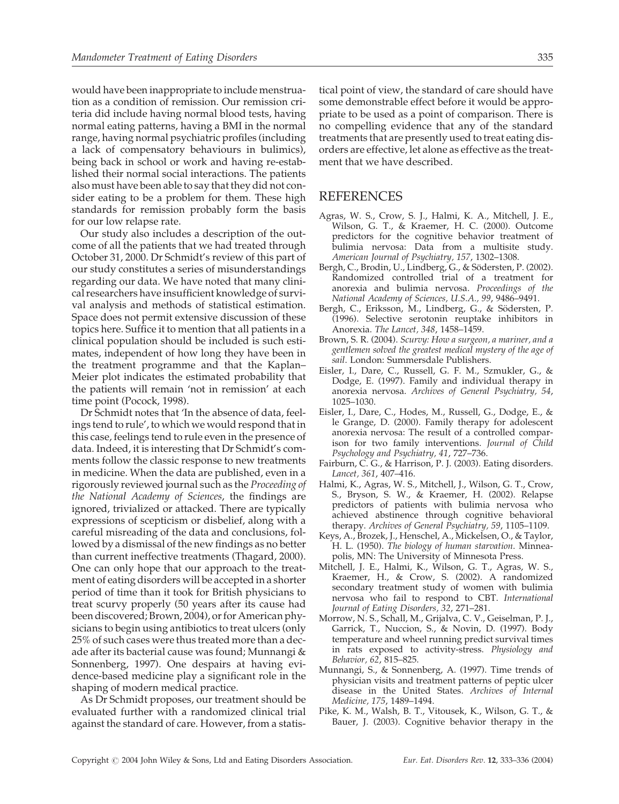would have been inappropriate to include menstruation as a condition of remission. Our remission criteria did include having normal blood tests, having normal eating patterns, having a BMI in the normal range, having normal psychiatric profiles (including a lack of compensatory behaviours in bulimics), being back in school or work and having re-established their normal social interactions. The patients also must have been able to say that they did not consider eating to be a problem for them. These high standards for remission probably form the basis for our low relapse rate.

Our study also includes a description of the outcome of all the patients that we had treated through October 31, 2000. Dr Schmidt's review of this part of our study constitutes a series of misunderstandings regarding our data. We have noted that many clinical researchers have insufficient knowledge of survival analysis and methods of statistical estimation. Space does not permit extensive discussion of these topics here. Suffice it to mention that all patients in a clinical population should be included is such estimates, independent of how long they have been in the treatment programme and that the Kaplan– Meier plot indicates the estimated probability that the patients will remain 'not in remission' at each time point (Pocock, 1998).

Dr Schmidt notes that 'In the absence of data, feelings tend to rule', to which we would respond thatin this case, feelings tend to rule even in the presence of data. Indeed, it is interesting that Dr Schmidt's comments follow the classic response to new treatments in medicine. When the data are published, even in a rigorously reviewed journal such as the Proceeding of the National Academy of Sciences, the findings are ignored, trivialized or attacked. There are typically expressions of scepticism or disbelief, along with a careful misreading of the data and conclusions, followed by a dismissal of the new findings as no better than current ineffective treatments (Thagard, 2000). One can only hope that our approach to the treatment of eating disorders will be accepted in a shorter period of time than it took for British physicians to treat scurvy properly (50 years after its cause had been discovered; Brown, 2004), or for American physicians to begin using antibiotics to treat ulcers (only 25% of such cases were thus treated more than a decade after its bacterial cause was found; Munnangi & Sonnenberg, 1997). One despairs at having evidence-based medicine play a significant role in the shaping of modern medical practice.

As Dr Schmidt proposes, our treatment should be evaluated further with a randomized clinical trial against the standard of care. However, from a statis-

tical point of view, the standard of care should have some demonstrable effect before it would be appropriate to be used as a point of comparison. There is no compelling evidence that any of the standard treatments that are presently used to treat eating disorders are effective, let alone as effective as the treatment that we have described.

## REFERENCES

- Agras, W. S., Crow, S. J., Halmi, K. A., Mitchell, J. E., Wilson, G. T., & Kraemer, H. C. (2000). Outcome predictors for the cognitive behavior treatment of bulimia nervosa: Data from a multisite study. American Journal of Psychiatry, 157, 1302–1308.
- Bergh, C., Brodin, U., Lindberg, G., & Södersten, P. (2002). Randomized controlled trial of a treatment for anorexia and bulimia nervosa. Proceedings of the National Academy of Sciences, U.S.A., 99, 9486–9491.
- Bergh, C., Eriksson, M., Lindberg, G., & Södersten, P. (1996). Selective serotonin reuptake inhibitors in Anorexia. The Lancet, 348, 1458–1459.
- Brown, S. R. (2004). Scurvy: How a surgeon, a mariner, and a gentlemen solved the greatest medical mystery of the age of sail. London: Summersdale Publishers.
- Eisler, I., Dare, C., Russell, G. F. M., Szmukler, G., & Dodge, E. (1997). Family and individual therapy in anorexia nervosa. Archives of General Psychiatry, 54, 1025–1030.
- Eisler, I., Dare, C., Hodes, M., Russell, G., Dodge, E., & le Grange, D. (2000). Family therapy for adolescent anorexia nervosa: The result of a controlled comparison for two family interventions. Journal of Child Psychology and Psychiatry, 41, 727–736.
- Fairburn, C. G., & Harrison, P. J. (2003). Eating disorders. Lancet, 361, 407–416.
- Halmi, K., Agras, W. S., Mitchell, J., Wilson, G. T., Crow, S., Bryson, S. W., & Kraemer, H. (2002). Relapse predictors of patients with bulimia nervosa who achieved abstinence through cognitive behavioral therapy. Archives of General Psychiatry, 59, 1105–1109.
- Keys, A., Brozek, J., Henschel, A., Mickelsen, O., & Taylor, H. L. (1950). The biology of human starvation. Minneapolis, MN: The University of Minnesota Press.
- Mitchell, J. E., Halmi, K., Wilson, G. T., Agras, W. S., Kraemer, H., & Crow, S. (2002). A randomized secondary treatment study of women with bulimia nervosa who fail to respond to CBT. International Journal of Eating Disorders, 32, 271–281.
- Morrow, N. S., Schall, M., Grijalva, C. V., Geiselman, P. J., Garrick, T., Nuccion, S., & Novin, D. (1997). Body temperature and wheel running predict survival times in rats exposed to activity-stress. Physiology and Behavior, 62, 815–825.
- Munnangi, S., & Sonnenberg, A. (1997). Time trends of physician visits and treatment patterns of peptic ulcer disease in the United States. Archives of Internal Medicine, 175, 1489–1494.
- Pike, K. M., Walsh, B. T., Vitousek, K., Wilson, G. T., & Bauer, J. (2003). Cognitive behavior therapy in the